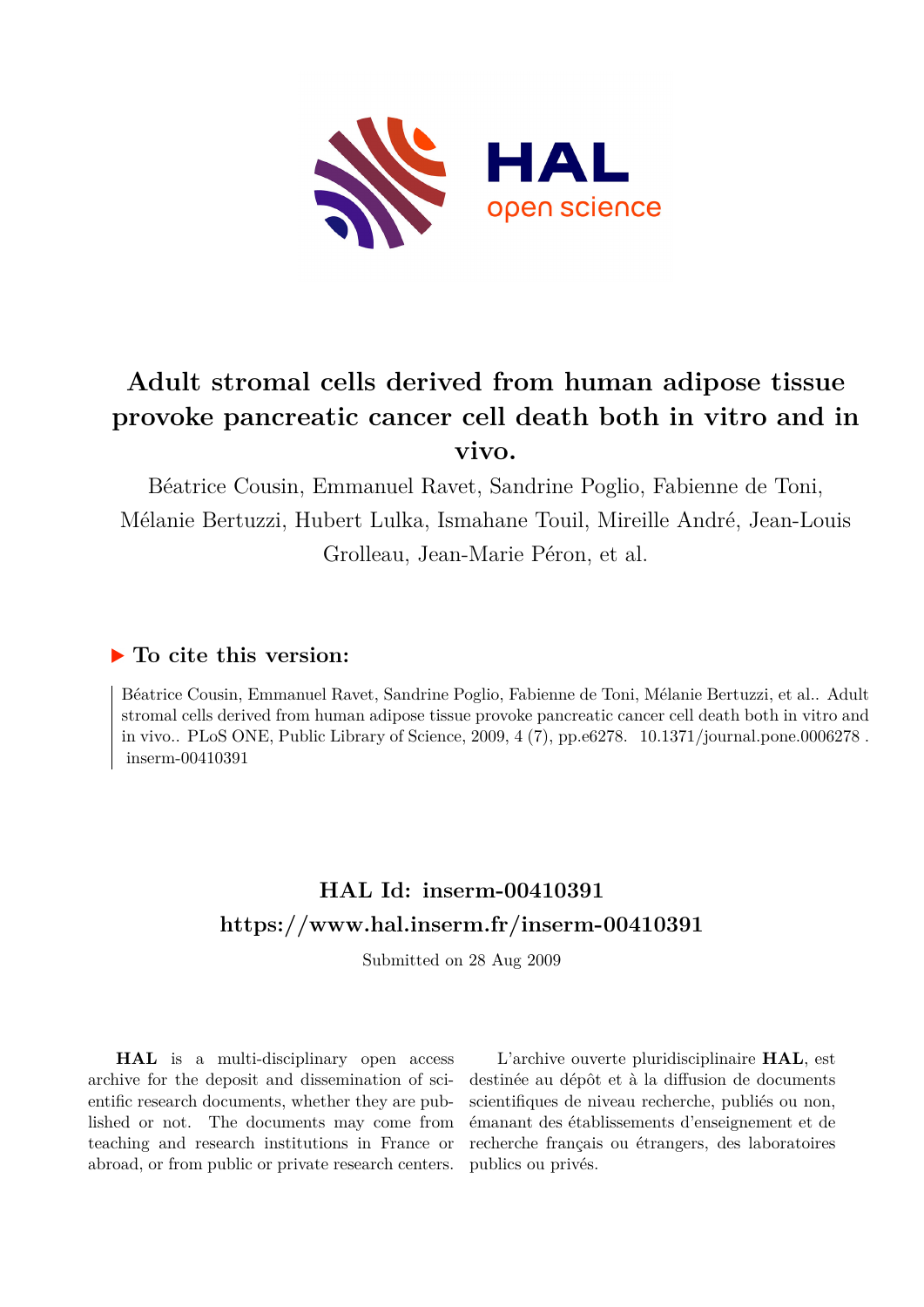

## **Adult stromal cells derived from human adipose tissue provoke pancreatic cancer cell death both in vitro and in vivo.**

Béatrice Cousin, Emmanuel Ravet, Sandrine Poglio, Fabienne de Toni, Mélanie Bertuzzi, Hubert Lulka, Ismahane Touil, Mireille André, Jean-Louis Grolleau, Jean-Marie Péron, et al.

## **To cite this version:**

Béatrice Cousin, Emmanuel Ravet, Sandrine Poglio, Fabienne de Toni, Mélanie Bertuzzi, et al.. Adult stromal cells derived from human adipose tissue provoke pancreatic cancer cell death both in vitro and in vivo.. PLoS ONE, Public Library of Science,  $2009, 4(7)$ , pp.e6278.  $10.1371/journal.pone.0006278$ .  $inserm-00410391$ 

## **HAL Id: inserm-00410391 <https://www.hal.inserm.fr/inserm-00410391>**

Submitted on 28 Aug 2009

**HAL** is a multi-disciplinary open access archive for the deposit and dissemination of scientific research documents, whether they are published or not. The documents may come from teaching and research institutions in France or abroad, or from public or private research centers.

L'archive ouverte pluridisciplinaire **HAL**, est destinée au dépôt et à la diffusion de documents scientifiques de niveau recherche, publiés ou non, émanant des établissements d'enseignement et de recherche français ou étrangers, des laboratoires publics ou privés.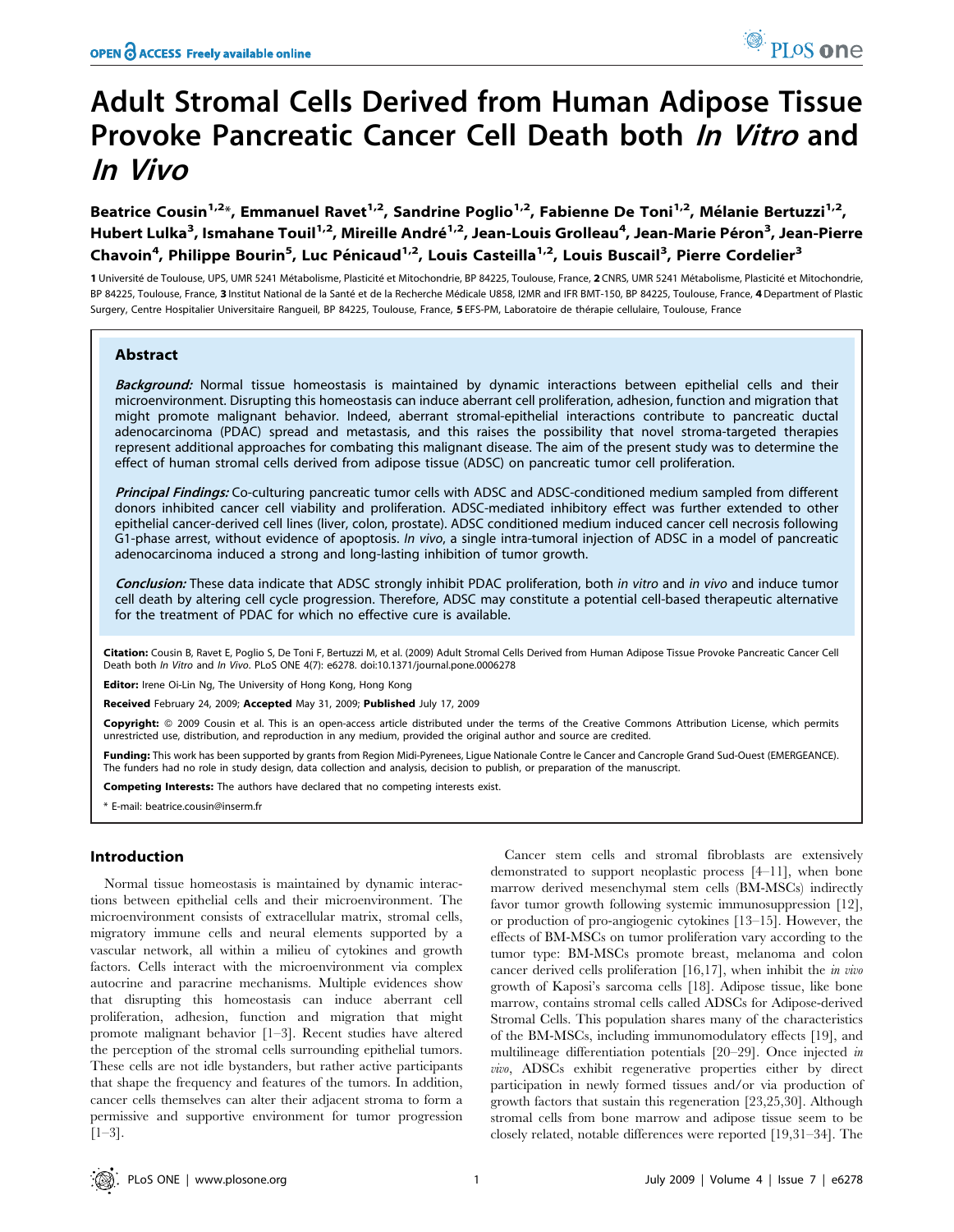# Adult Stromal Cells Derived from Human Adipose Tissue Provoke Pancreatic Cancer Cell Death both In Vitro and In Vivo

Beatrice Cousin<sup>1,2\*</sup>, Emmanuel Ravet<sup>1,2</sup>, Sandrine Poglio<sup>1,2</sup>, Fabienne De Toni<sup>1,2</sup>, Mélanie Bertuzzi<sup>1,2</sup>, Hubert Lulka<sup>3</sup>, Ismahane Touil<sup>1,2</sup>, Mireille André<sup>1,2</sup>, Jean-Louis Grolleau<sup>4</sup>, Jean-Marie Péron<sup>3</sup>, Jean-Pierre Chavoin<sup>4</sup>, Philippe Bourin<sup>5</sup>, Luc Pénicaud<sup>1,2</sup>, Louis Casteilla<sup>1,2</sup>, Louis Buscail<sup>3</sup>, Pierre Cordelier<sup>3</sup>

1 Université de Toulouse, UPS, UMR 5241 Métabolisme, Plasticité et Mitochondrie, BP 84225, Toulouse, France, 2 CNRS, UMR 5241 Métabolisme, Plasticité et Mitochondrie, BP 84225, Toulouse, France, 3 Institut National de la Santé et de la Recherche Médicale U858, I2MR and IFR BMT-150, BP 84225, Toulouse, France, 4 Department of Plastic Surgery, Centre Hospitalier Universitaire Rangueil, BP 84225, Toulouse, France, 5 EFS-PM, Laboratoire de the´rapie cellulaire, Toulouse, France

## Abstract

Background: Normal tissue homeostasis is maintained by dynamic interactions between epithelial cells and their microenvironment. Disrupting this homeostasis can induce aberrant cell proliferation, adhesion, function and migration that might promote malignant behavior. Indeed, aberrant stromal-epithelial interactions contribute to pancreatic ductal adenocarcinoma (PDAC) spread and metastasis, and this raises the possibility that novel stroma-targeted therapies represent additional approaches for combating this malignant disease. The aim of the present study was to determine the effect of human stromal cells derived from adipose tissue (ADSC) on pancreatic tumor cell proliferation.

Principal Findings: Co-culturing pancreatic tumor cells with ADSC and ADSC-conditioned medium sampled from different donors inhibited cancer cell viability and proliferation. ADSC-mediated inhibitory effect was further extended to other epithelial cancer-derived cell lines (liver, colon, prostate). ADSC conditioned medium induced cancer cell necrosis following G1-phase arrest, without evidence of apoptosis. In vivo, a single intra-tumoral injection of ADSC in a model of pancreatic adenocarcinoma induced a strong and long-lasting inhibition of tumor growth.

Conclusion: These data indicate that ADSC strongly inhibit PDAC proliferation, both in vitro and in vivo and induce tumor cell death by altering cell cycle progression. Therefore, ADSC may constitute a potential cell-based therapeutic alternative for the treatment of PDAC for which no effective cure is available.

Citation: Cousin B, Ravet E, Poglio S, De Toni F, Bertuzzi M, et al. (2009) Adult Stromal Cells Derived from Human Adipose Tissue Provoke Pancreatic Cancer Cell Death both In Vitro and In Vivo. PLoS ONE 4(7): e6278. doi:10.1371/journal.pone.0006278

Editor: Irene Oi-Lin Ng, The University of Hong Kong, Hong Kong

Received February 24, 2009; Accepted May 31, 2009; Published July 17, 2009

Copyright: © 2009 Cousin et al. This is an open-access article distributed under the terms of the Creative Commons Attribution License, which permits unrestricted use, distribution, and reproduction in any medium, provided the original author and source are credited.

Funding: This work has been supported by grants from Region Midi-Pyrenees, Ligue Nationale Contre le Cancer and Cancrople Grand Sud-Ouest (EMERGEANCE). The funders had no role in study design, data collection and analysis, decision to publish, or preparation of the manuscript.

Competing Interests: The authors have declared that no competing interests exist.

\* E-mail: beatrice.cousin@inserm.fr

## Introduction

Normal tissue homeostasis is maintained by dynamic interactions between epithelial cells and their microenvironment. The microenvironment consists of extracellular matrix, stromal cells, migratory immune cells and neural elements supported by a vascular network, all within a milieu of cytokines and growth factors. Cells interact with the microenvironment via complex autocrine and paracrine mechanisms. Multiple evidences show that disrupting this homeostasis can induce aberrant cell proliferation, adhesion, function and migration that might promote malignant behavior [1–3]. Recent studies have altered the perception of the stromal cells surrounding epithelial tumors. These cells are not idle bystanders, but rather active participants that shape the frequency and features of the tumors. In addition, cancer cells themselves can alter their adjacent stroma to form a permissive and supportive environment for tumor progression  $[1-3]$ .

Cancer stem cells and stromal fibroblasts are extensively demonstrated to support neoplastic process [4–11], when bone marrow derived mesenchymal stem cells (BM-MSCs) indirectly favor tumor growth following systemic immunosuppression [12], or production of pro-angiogenic cytokines [13–15]. However, the effects of BM-MSCs on tumor proliferation vary according to the tumor type: BM-MSCs promote breast, melanoma and colon cancer derived cells proliferation [16,17], when inhibit the in vivo growth of Kaposi's sarcoma cells [18]. Adipose tissue, like bone marrow, contains stromal cells called ADSCs for Adipose-derived Stromal Cells. This population shares many of the characteristics of the BM-MSCs, including immunomodulatory effects [19], and multilineage differentiation potentials [20–29]. Once injected in vivo, ADSCs exhibit regenerative properties either by direct participation in newly formed tissues and/or via production of growth factors that sustain this regeneration [23,25,30]. Although stromal cells from bone marrow and adipose tissue seem to be closely related, notable differences were reported [19,31–34]. The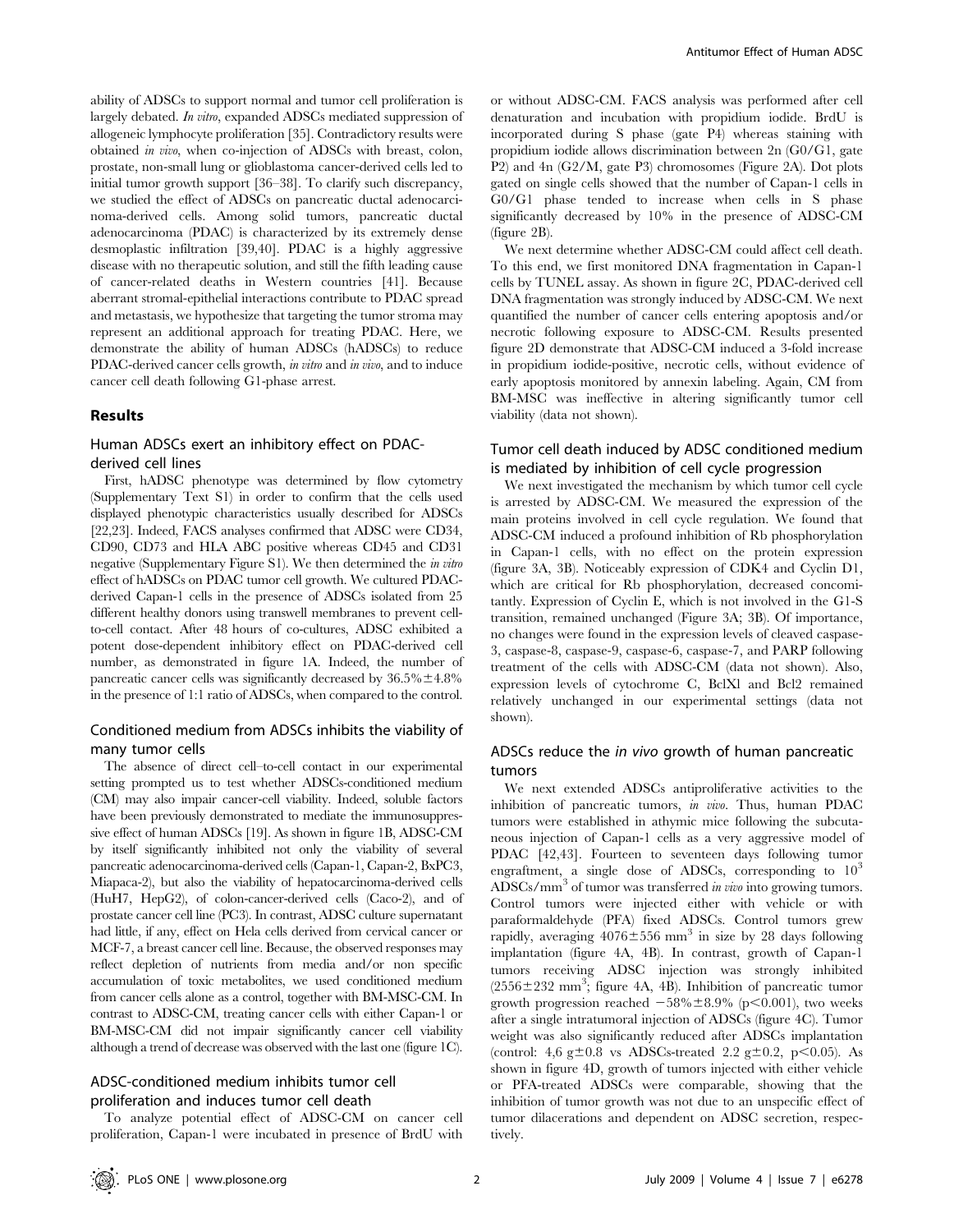ability of ADSCs to support normal and tumor cell proliferation is largely debated. In vitro, expanded ADSCs mediated suppression of allogeneic lymphocyte proliferation [35]. Contradictory results were obtained in vivo, when co-injection of ADSCs with breast, colon, prostate, non-small lung or glioblastoma cancer-derived cells led to initial tumor growth support [36–38]. To clarify such discrepancy, we studied the effect of ADSCs on pancreatic ductal adenocarcinoma-derived cells. Among solid tumors, pancreatic ductal adenocarcinoma (PDAC) is characterized by its extremely dense desmoplastic infiltration [39,40]. PDAC is a highly aggressive disease with no therapeutic solution, and still the fifth leading cause of cancer-related deaths in Western countries [41]. Because aberrant stromal-epithelial interactions contribute to PDAC spread and metastasis, we hypothesize that targeting the tumor stroma may represent an additional approach for treating PDAC. Here, we demonstrate the ability of human ADSCs (hADSCs) to reduce PDAC-derived cancer cells growth, in vitro and in vivo, and to induce cancer cell death following G1-phase arrest.

#### Results

## Human ADSCs exert an inhibitory effect on PDACderived cell lines

First, hADSC phenotype was determined by flow cytometry (Supplementary Text S1) in order to confirm that the cells used displayed phenotypic characteristics usually described for ADSCs [22,23]. Indeed, FACS analyses confirmed that ADSC were CD34, CD90, CD73 and HLA ABC positive whereas CD45 and CD31 negative (Supplementary Figure S1). We then determined the in vitro effect of hADSCs on PDAC tumor cell growth. We cultured PDACderived Capan-1 cells in the presence of ADSCs isolated from 25 different healthy donors using transwell membranes to prevent cellto-cell contact. After 48 hours of co-cultures, ADSC exhibited a potent dose-dependent inhibitory effect on PDAC-derived cell number, as demonstrated in figure 1A. Indeed, the number of pancreatic cancer cells was significantly decreased by  $36.5\% \pm 4.8\%$ in the presence of 1:1 ratio of ADSCs, when compared to the control.

## Conditioned medium from ADSCs inhibits the viability of many tumor cells

The absence of direct cell–to-cell contact in our experimental setting prompted us to test whether ADSCs-conditioned medium (CM) may also impair cancer-cell viability. Indeed, soluble factors have been previously demonstrated to mediate the immunosuppressive effect of human ADSCs [19]. As shown in figure 1B, ADSC-CM by itself significantly inhibited not only the viability of several pancreatic adenocarcinoma-derived cells (Capan-1, Capan-2, BxPC3, Miapaca-2), but also the viability of hepatocarcinoma-derived cells (HuH7, HepG2), of colon-cancer-derived cells (Caco-2), and of prostate cancer cell line (PC3). In contrast, ADSC culture supernatant had little, if any, effect on Hela cells derived from cervical cancer or MCF-7, a breast cancer cell line. Because, the observed responses may reflect depletion of nutrients from media and/or non specific accumulation of toxic metabolites, we used conditioned medium from cancer cells alone as a control, together with BM-MSC-CM. In contrast to ADSC-CM, treating cancer cells with either Capan-1 or BM-MSC-CM did not impair significantly cancer cell viability although a trend of decrease was observed with the last one (figure 1C).

## ADSC-conditioned medium inhibits tumor cell proliferation and induces tumor cell death

To analyze potential effect of ADSC-CM on cancer cell proliferation, Capan-1 were incubated in presence of BrdU with or without ADSC-CM. FACS analysis was performed after cell denaturation and incubation with propidium iodide. BrdU is incorporated during S phase (gate P4) whereas staining with propidium iodide allows discrimination between 2n (G0/G1, gate P2) and 4n (G2/M, gate P3) chromosomes (Figure 2A). Dot plots gated on single cells showed that the number of Capan-1 cells in G0/G1 phase tended to increase when cells in S phase significantly decreased by 10% in the presence of ADSC-CM (figure 2B).

We next determine whether ADSC-CM could affect cell death. To this end, we first monitored DNA fragmentation in Capan-1 cells by TUNEL assay. As shown in figure 2C, PDAC-derived cell DNA fragmentation was strongly induced by ADSC-CM. We next quantified the number of cancer cells entering apoptosis and/or necrotic following exposure to ADSC-CM. Results presented figure 2D demonstrate that ADSC-CM induced a 3-fold increase in propidium iodide-positive, necrotic cells, without evidence of early apoptosis monitored by annexin labeling. Again, CM from BM-MSC was ineffective in altering significantly tumor cell viability (data not shown).

## Tumor cell death induced by ADSC conditioned medium is mediated by inhibition of cell cycle progression

We next investigated the mechanism by which tumor cell cycle is arrested by ADSC-CM. We measured the expression of the main proteins involved in cell cycle regulation. We found that ADSC-CM induced a profound inhibition of Rb phosphorylation in Capan-1 cells, with no effect on the protein expression (figure 3A, 3B). Noticeably expression of CDK4 and Cyclin D1, which are critical for Rb phosphorylation, decreased concomitantly. Expression of Cyclin E, which is not involved in the G1-S transition, remained unchanged (Figure 3A; 3B). Of importance, no changes were found in the expression levels of cleaved caspase-3, caspase-8, caspase-9, caspase-6, caspase-7, and PARP following treatment of the cells with ADSC-CM (data not shown). Also, expression levels of cytochrome C, BclXl and Bcl2 remained relatively unchanged in our experimental settings (data not shown).

## ADSCs reduce the in vivo growth of human pancreatic tumors

We next extended ADSCs antiproliferative activities to the inhibition of pancreatic tumors, in vivo. Thus, human PDAC tumors were established in athymic mice following the subcutaneous injection of Capan-1 cells as a very aggressive model of PDAC [42,43]. Fourteen to seventeen days following tumor engraftment, a single dose of ADSCs, corresponding to  $10<sup>3</sup>$ ADSCs/mm<sup>3</sup> of tumor was transferred *in vivo* into growing tumors. Control tumors were injected either with vehicle or with paraformaldehyde (PFA) fixed ADSCs. Control tumors grew rapidly, averaging  $4076 \pm 556$  mm<sup>3</sup> in size by 28 days following implantation (figure 4A, 4B). In contrast, growth of Capan-1 tumors receiving ADSC injection was strongly inhibited  $(2556 \pm 232 \text{ mm}^3)$ ; figure 4A, 4B). Inhibition of pancreatic tumor growth progression reached  $-58\% \pm 8.9\%$  (p $< 0.001$ ), two weeks after a single intratumoral injection of ADSCs (figure 4C). Tumor weight was also significantly reduced after ADSCs implantation (control: 4,6 g $\pm$ 0.8 vs ADSCs-treated 2.2 g $\pm$ 0.2, p<0.05). As shown in figure 4D, growth of tumors injected with either vehicle or PFA-treated ADSCs were comparable, showing that the inhibition of tumor growth was not due to an unspecific effect of tumor dilacerations and dependent on ADSC secretion, respectively.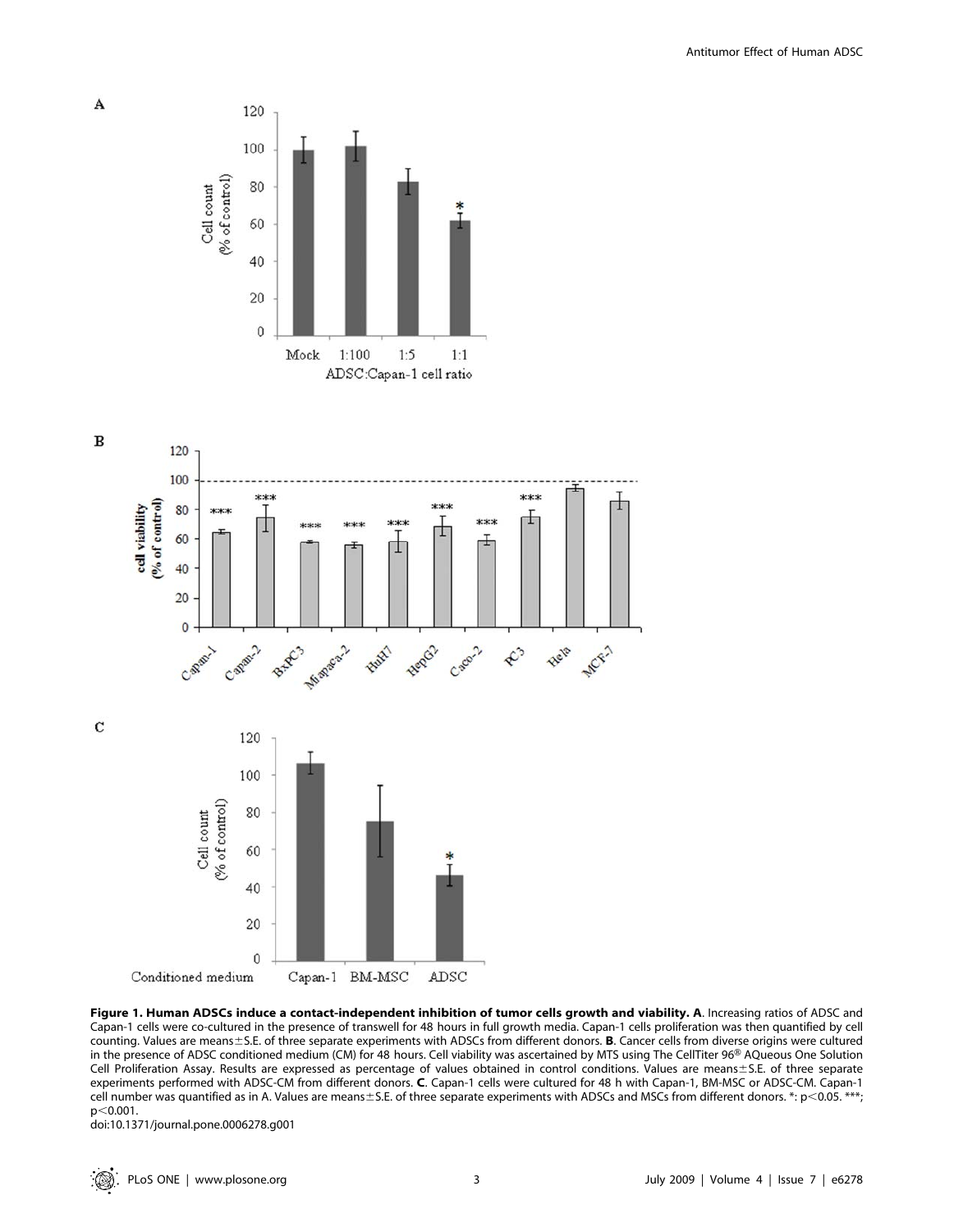

 $\mathbf{A}$ 



Figure 1. Human ADSCs induce a contact-independent inhibition of tumor cells growth and viability. A. Increasing ratios of ADSC and Capan-1 cells were co-cultured in the presence of transwell for 48 hours in full growth media. Capan-1 cells proliferation was then quantified by cell counting. Values are means $\pm$ S.E. of three separate experiments with ADSCs from different donors. **B**. Cancer cells from diverse origins were cultured in the presence of ADSC conditioned medium (CM) for 48 hours. Cell viability was ascertained by MTS using The CellTiter 96<sup>®</sup> AQueous One Solution Cell Proliferation Assay. Results are expressed as percentage of values obtained in control conditions. Values are means±S.E. of three separate experiments performed with ADSC-CM from different donors. C. Capan-1 cells were cultured for 48 h with Capan-1, BM-MSC or ADSC-CM. Capan-1 cell number was quantified as in A. Values are means±S.E. of three separate experiments with ADSCs and MSCs from different donors. \*: p<0.05. \*\*\*;  $p<0.001$ .

doi:10.1371/journal.pone.0006278.g001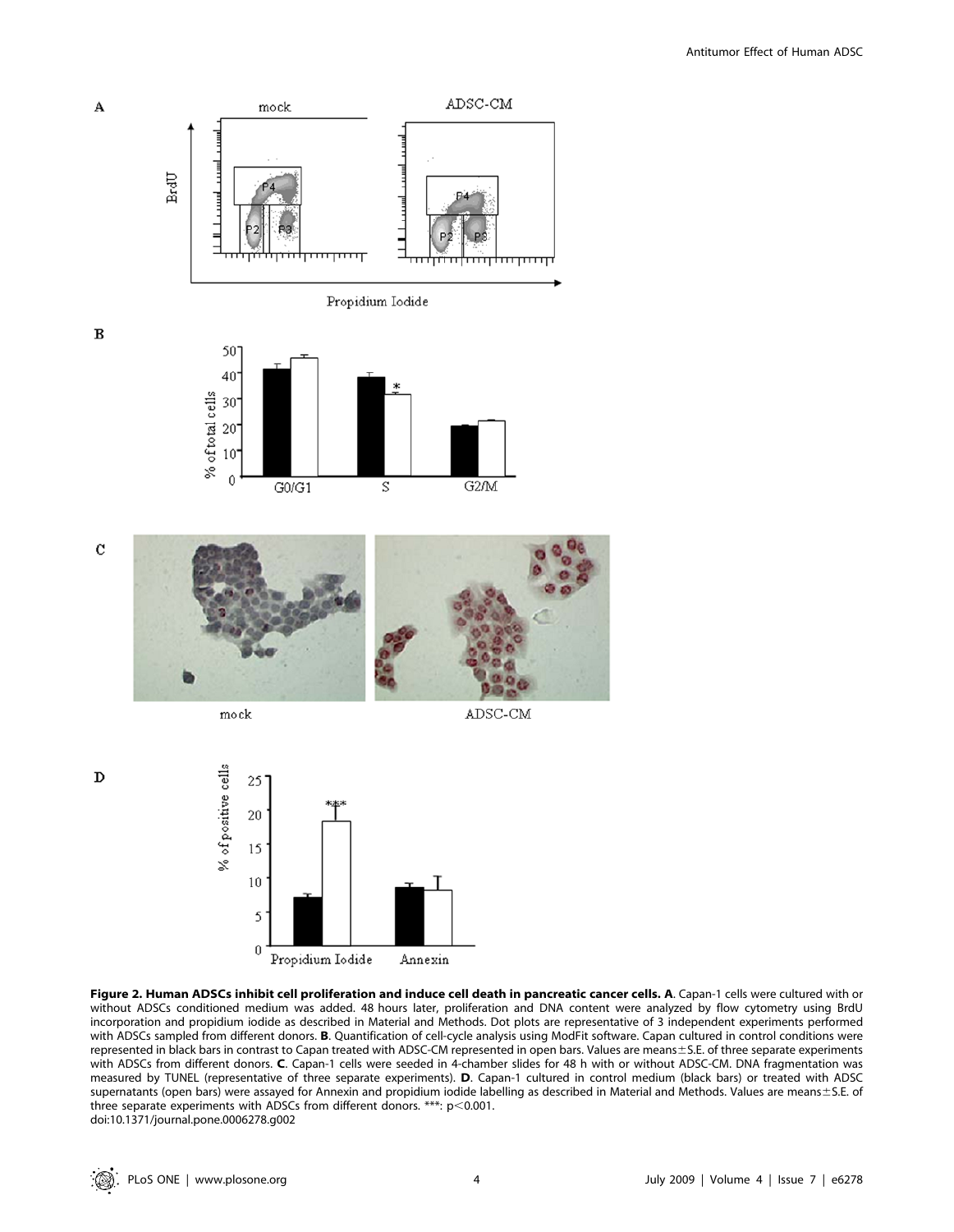

 $\rm{c}$ 

 $\mathbf D$ 

A

 $\, {\bf B}$ 



S

mock

 $\theta$ 

G0/G1

ADSC-CM

G2/M



Figure 2. Human ADSCs inhibit cell proliferation and induce cell death in pancreatic cancer cells. A. Capan-1 cells were cultured with or without ADSCs conditioned medium was added. 48 hours later, proliferation and DNA content were analyzed by flow cytometry using BrdU incorporation and propidium iodide as described in Material and Methods. Dot plots are representative of 3 independent experiments performed with ADSCs sampled from different donors. B. Quantification of cell-cycle analysis using ModFit software. Capan cultured in control conditions were represented in black bars in contrast to Capan treated with ADSC-CM represented in open bars. Values are means±S.E. of three separate experiments with ADSCs from different donors. C. Capan-1 cells were seeded in 4-chamber slides for 48 h with or without ADSC-CM. DNA fragmentation was measured by TUNEL (representative of three separate experiments). D. Capan-1 cultured in control medium (black bars) or treated with ADSC supernatants (open bars) were assayed for Annexin and propidium iodide labelling as described in Material and Methods. Values are means±S.E. of three separate experiments with ADSCs from different donors. \*\*\*:  $p<0.001$ . doi:10.1371/journal.pone.0006278.g002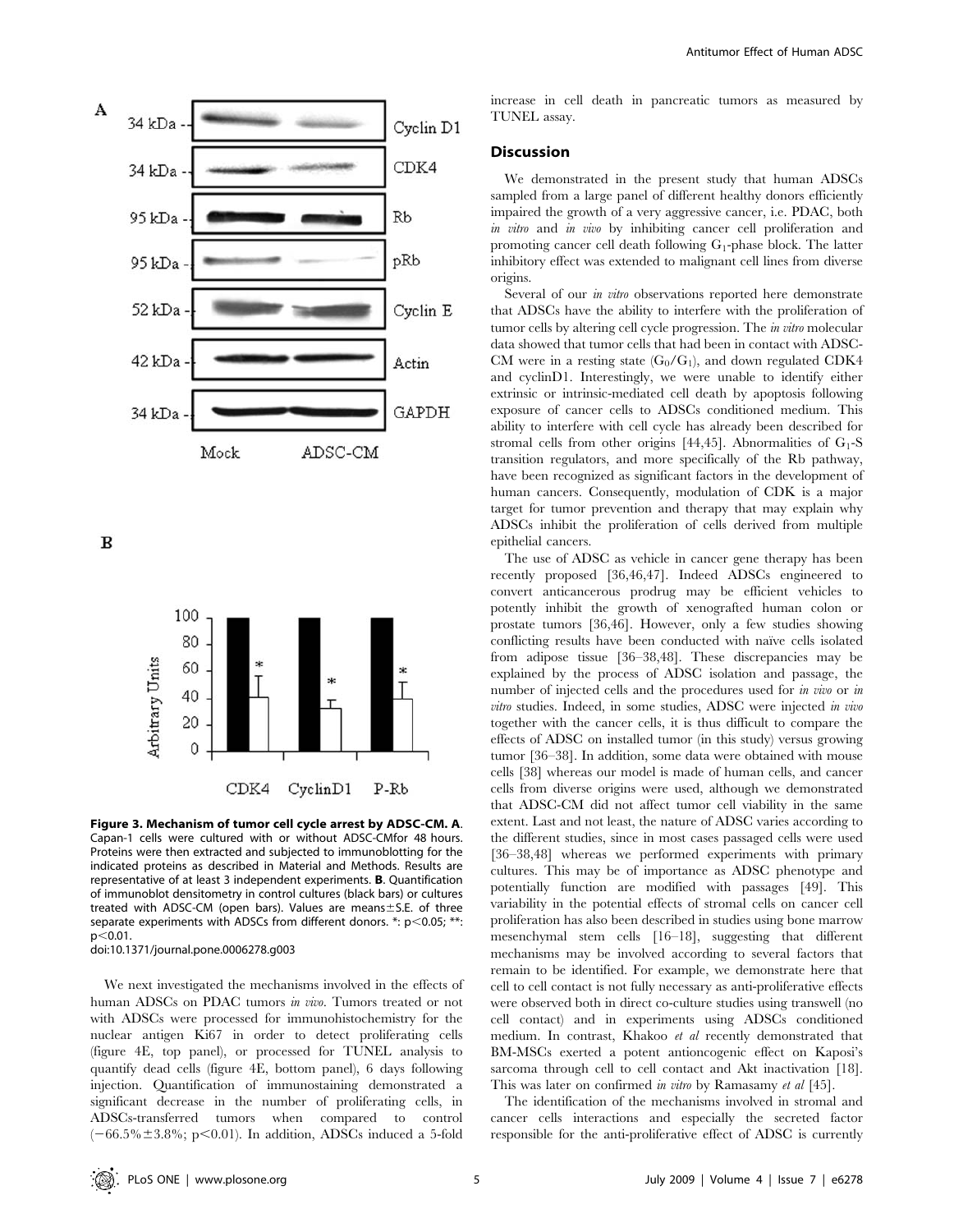

 $\bf{B}$ 



Figure 3. Mechanism of tumor cell cycle arrest by ADSC-CM. A. Capan-1 cells were cultured with or without ADSC-CMfor 48 hours. Proteins were then extracted and subjected to immunoblotting for the indicated proteins as described in Material and Methods. Results are representative of at least 3 independent experiments. B. Quantification of immunoblot densitometry in control cultures (black bars) or cultures treated with ADSC-CM (open bars). Values are means $\pm$ S.E. of three separate experiments with ADSCs from different donors.  $*$ :  $p$ <0.05;  $**$ :  $p<0.01$ .

doi:10.1371/journal.pone.0006278.g003

We next investigated the mechanisms involved in the effects of human ADSCs on PDAC tumors in vivo. Tumors treated or not with ADSCs were processed for immunohistochemistry for the nuclear antigen Ki67 in order to detect proliferating cells (figure 4E, top panel), or processed for TUNEL analysis to quantify dead cells (figure 4E, bottom panel), 6 days following injection. Quantification of immunostaining demonstrated a significant decrease in the number of proliferating cells, in ADSCs-transferred tumors when compared to control  $(-66.5\% \pm 3.8\%; p<0.01)$ . In addition, ADSCs induced a 5-fold

increase in cell death in pancreatic tumors as measured by TUNEL assay.

### **Discussion**

We demonstrated in the present study that human ADSCs sampled from a large panel of different healthy donors efficiently impaired the growth of a very aggressive cancer, i.e. PDAC, both in vitro and in vivo by inhibiting cancer cell proliferation and promoting cancer cell death following  $G_1$ -phase block. The latter inhibitory effect was extended to malignant cell lines from diverse origins.

Several of our *in vitro* observations reported here demonstrate that ADSCs have the ability to interfere with the proliferation of tumor cells by altering cell cycle progression. The in vitro molecular data showed that tumor cells that had been in contact with ADSC-CM were in a resting state  $(G_0/G_1)$ , and down regulated CDK4 and cyclinD1. Interestingly, we were unable to identify either extrinsic or intrinsic-mediated cell death by apoptosis following exposure of cancer cells to ADSCs conditioned medium. This ability to interfere with cell cycle has already been described for stromal cells from other origins [44,45]. Abnormalities of  $G_1$ -S transition regulators, and more specifically of the Rb pathway, have been recognized as significant factors in the development of human cancers. Consequently, modulation of CDK is a major target for tumor prevention and therapy that may explain why ADSCs inhibit the proliferation of cells derived from multiple epithelial cancers.

The use of ADSC as vehicle in cancer gene therapy has been recently proposed [36,46,47]. Indeed ADSCs engineered to convert anticancerous prodrug may be efficient vehicles to potently inhibit the growth of xenografted human colon or prostate tumors [36,46]. However, only a few studies showing conflicting results have been conducted with naïve cells isolated from adipose tissue [36–38,48]. These discrepancies may be explained by the process of ADSC isolation and passage, the number of injected cells and the procedures used for *in vivo* or *in* vitro studies. Indeed, in some studies, ADSC were injected in vivo together with the cancer cells, it is thus difficult to compare the effects of ADSC on installed tumor (in this study) versus growing tumor [36–38]. In addition, some data were obtained with mouse cells [38] whereas our model is made of human cells, and cancer cells from diverse origins were used, although we demonstrated that ADSC-CM did not affect tumor cell viability in the same extent. Last and not least, the nature of ADSC varies according to the different studies, since in most cases passaged cells were used [36–38,48] whereas we performed experiments with primary cultures. This may be of importance as ADSC phenotype and potentially function are modified with passages [49]. This variability in the potential effects of stromal cells on cancer cell proliferation has also been described in studies using bone marrow mesenchymal stem cells [16–18], suggesting that different mechanisms may be involved according to several factors that remain to be identified. For example, we demonstrate here that cell to cell contact is not fully necessary as anti-proliferative effects were observed both in direct co-culture studies using transwell (no cell contact) and in experiments using ADSCs conditioned medium. In contrast, Khakoo et al recently demonstrated that BM-MSCs exerted a potent antioncogenic effect on Kaposi's sarcoma through cell to cell contact and Akt inactivation [18]. This was later on confirmed in vitro by Ramasamy et al [45].

The identification of the mechanisms involved in stromal and cancer cells interactions and especially the secreted factor responsible for the anti-proliferative effect of ADSC is currently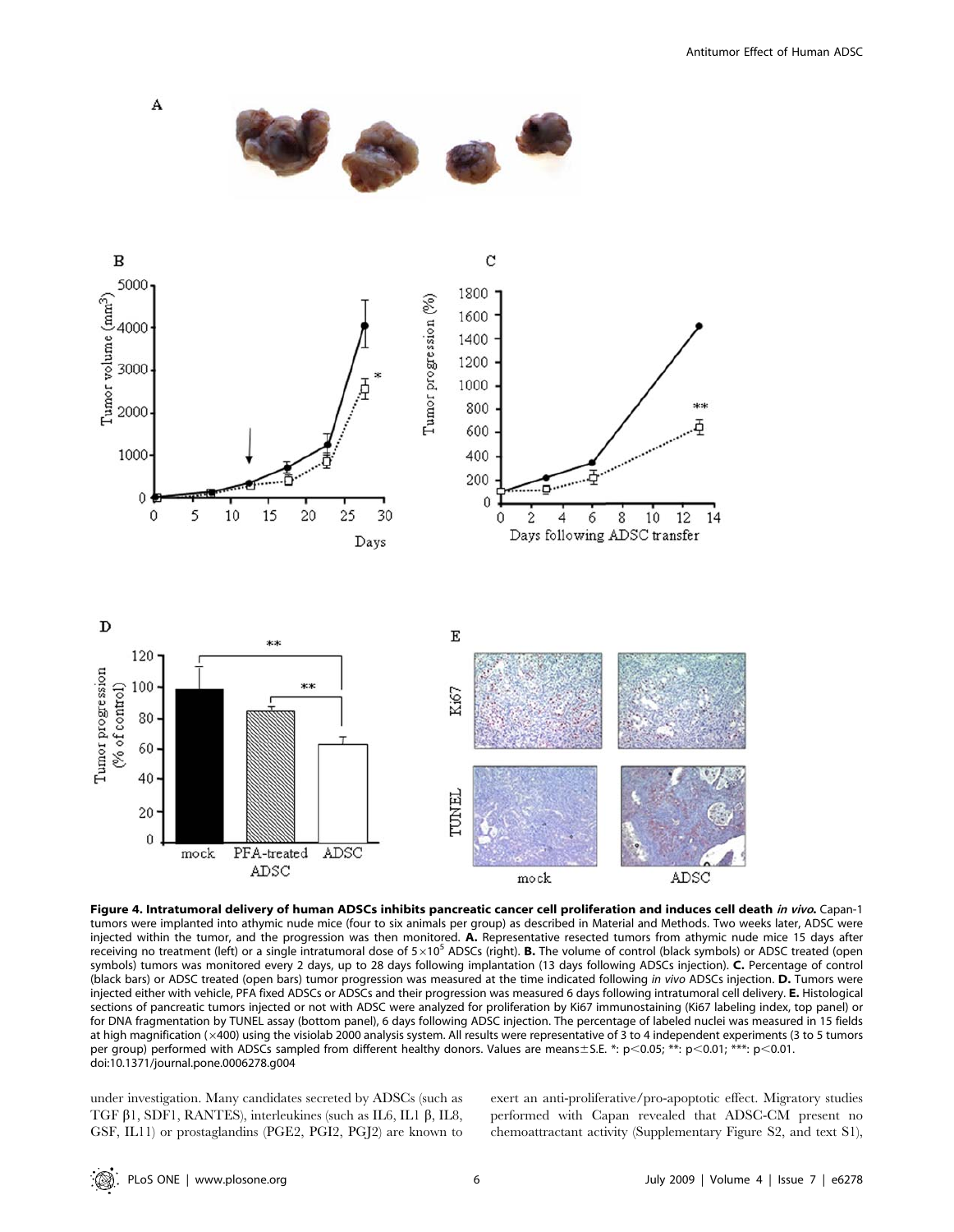

Figure 4. Intratumoral delivery of human ADSCs inhibits pancreatic cancer cell proliferation and induces cell death in vivo. Capan-1 tumors were implanted into athymic nude mice (four to six animals per group) as described in Material and Methods. Two weeks later, ADSC were injected within the tumor, and the progression was then monitored. A. Representative resected tumors from athymic nude mice 15 days after receiving no treatment (left) or a single intratumoral dose of  $5\times10^5$  ADSCs (right). B. The volume of control (black symbols) or ADSC treated (open symbols) tumors was monitored every 2 days, up to 28 days following implantation (13 days following ADSCs injection). C. Percentage of control (black bars) or ADSC treated (open bars) tumor progression was measured at the time indicated following in vivo ADSCs injection. D. Tumors were injected either with vehicle, PFA fixed ADSCs or ADSCs and their progression was measured 6 days following intratumoral cell delivery. E. Histological sections of pancreatic tumors injected or not with ADSC were analyzed for proliferation by Ki67 immunostaining (Ki67 labeling index, top panel) or for DNA fragmentation by TUNEL assay (bottom panel), 6 days following ADSC injection. The percentage of labeled nuclei was measured in 15 fields at high magnification (×400) using the visiolab 2000 analysis system. All results were representative of 3 to 4 independent experiments (3 to 5 tumors per group) performed with ADSCs sampled from different healthy donors. Values are means $\pm$ S.E. \*: p<0.05; \*\*: p<0.01; \*\*\*: p<0.01. doi:10.1371/journal.pone.0006278.g004

under investigation. Many candidates secreted by ADSCs (such as TGF  $\beta$ 1, SDF1, RANTES), interleukines (such as IL6, IL1  $\beta$ , IL8, GSF, IL11) or prostaglandins (PGE2, PGI2, PGJ2) are known to exert an anti-proliferative/pro-apoptotic effect. Migratory studies performed with Capan revealed that ADSC-CM present no chemoattractant activity (Supplementary Figure S2, and text S1),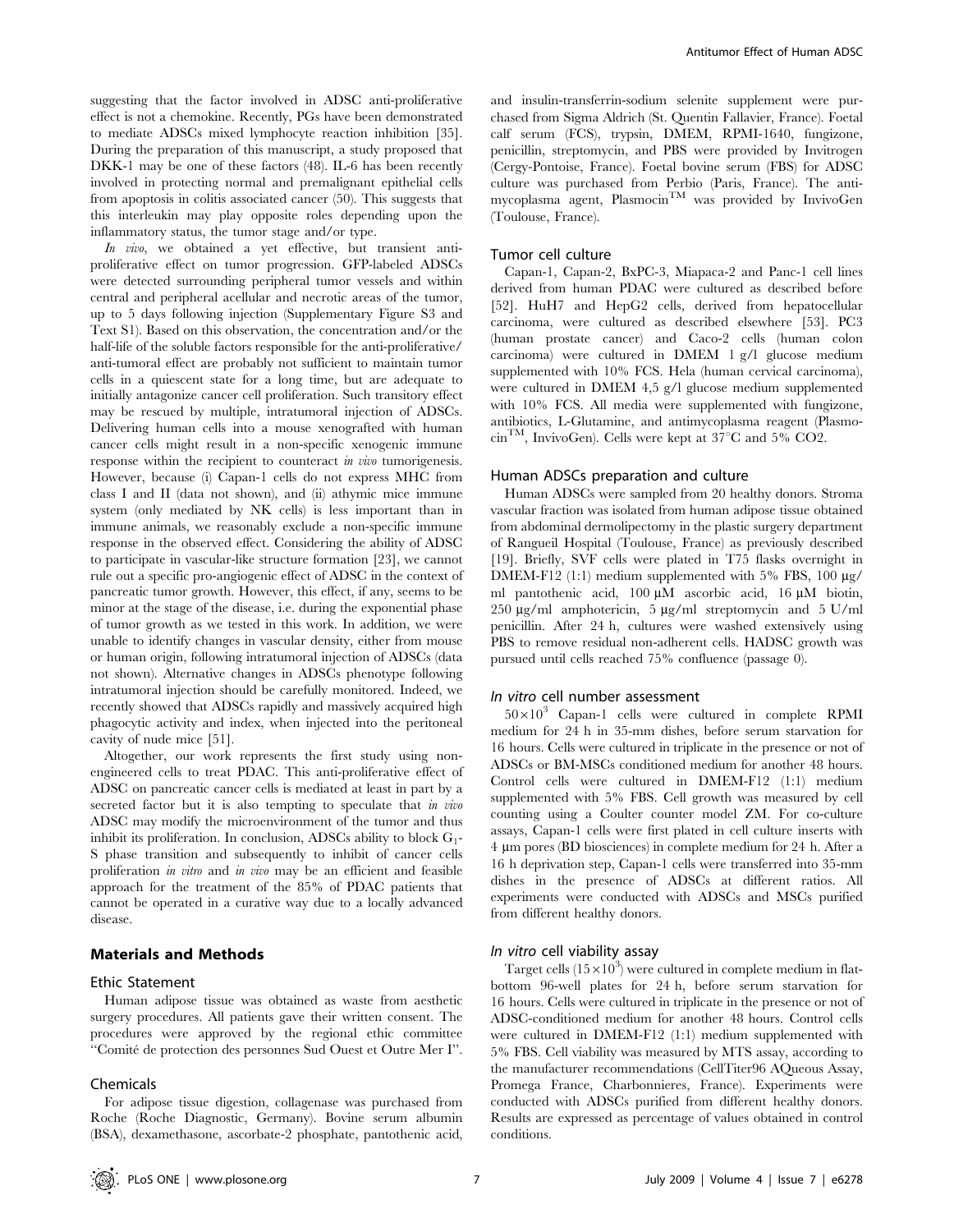suggesting that the factor involved in ADSC anti-proliferative effect is not a chemokine. Recently, PGs have been demonstrated to mediate ADSCs mixed lymphocyte reaction inhibition [35]. During the preparation of this manuscript, a study proposed that DKK-1 may be one of these factors (48). IL-6 has been recently involved in protecting normal and premalignant epithelial cells from apoptosis in colitis associated cancer (50). This suggests that this interleukin may play opposite roles depending upon the inflammatory status, the tumor stage and/or type.

In vivo, we obtained a yet effective, but transient antiproliferative effect on tumor progression. GFP-labeled ADSCs were detected surrounding peripheral tumor vessels and within central and peripheral acellular and necrotic areas of the tumor, up to 5 days following injection (Supplementary Figure S3 and Text S1). Based on this observation, the concentration and/or the half-life of the soluble factors responsible for the anti-proliferative/ anti-tumoral effect are probably not sufficient to maintain tumor cells in a quiescent state for a long time, but are adequate to initially antagonize cancer cell proliferation. Such transitory effect may be rescued by multiple, intratumoral injection of ADSCs. Delivering human cells into a mouse xenografted with human cancer cells might result in a non-specific xenogenic immune response within the recipient to counteract *in vivo* tumorigenesis. However, because (i) Capan-1 cells do not express MHC from class I and II (data not shown), and (ii) athymic mice immune system (only mediated by NK cells) is less important than in immune animals, we reasonably exclude a non-specific immune response in the observed effect. Considering the ability of ADSC to participate in vascular-like structure formation [23], we cannot rule out a specific pro-angiogenic effect of ADSC in the context of pancreatic tumor growth. However, this effect, if any, seems to be minor at the stage of the disease, i.e. during the exponential phase of tumor growth as we tested in this work. In addition, we were unable to identify changes in vascular density, either from mouse or human origin, following intratumoral injection of ADSCs (data not shown). Alternative changes in ADSCs phenotype following intratumoral injection should be carefully monitored. Indeed, we recently showed that ADSCs rapidly and massively acquired high phagocytic activity and index, when injected into the peritoneal cavity of nude mice [51].

Altogether, our work represents the first study using nonengineered cells to treat PDAC. This anti-proliferative effect of ADSC on pancreatic cancer cells is mediated at least in part by a secreted factor but it is also tempting to speculate that in vivo ADSC may modify the microenvironment of the tumor and thus inhibit its proliferation. In conclusion, ADSCs ability to block  $G_1$ -S phase transition and subsequently to inhibit of cancer cells proliferation in vitro and in vivo may be an efficient and feasible approach for the treatment of the 85% of PDAC patients that cannot be operated in a curative way due to a locally advanced disease.

#### Materials and Methods

#### Ethic Statement

Human adipose tissue was obtained as waste from aesthetic surgery procedures. All patients gave their written consent. The procedures were approved by the regional ethic committee ''Comite´ de protection des personnes Sud Ouest et Outre Mer I''.

#### Chemicals

For adipose tissue digestion, collagenase was purchased from Roche (Roche Diagnostic, Germany). Bovine serum albumin (BSA), dexamethasone, ascorbate-2 phosphate, pantothenic acid,

and insulin-transferrin-sodium selenite supplement were purchased from Sigma Aldrich (St. Quentin Fallavier, France). Foetal calf serum (FCS), trypsin, DMEM, RPMI-1640, fungizone, penicillin, streptomycin, and PBS were provided by Invitrogen (Cergy-Pontoise, France). Foetal bovine serum (FBS) for ADSC culture was purchased from Perbio (Paris, France). The antimycoplasma agent, Plasmocin<sup>TM</sup> was provided by InvivoGen (Toulouse, France).

#### Tumor cell culture

Capan-1, Capan-2, BxPC-3, Miapaca-2 and Panc-1 cell lines derived from human PDAC were cultured as described before [52]. HuH7 and HepG2 cells, derived from hepatocellular carcinoma, were cultured as described elsewhere [53]. PC3 (human prostate cancer) and Caco-2 cells (human colon carcinoma) were cultured in DMEM 1 g/l glucose medium supplemented with 10% FCS. Hela (human cervical carcinoma), were cultured in DMEM 4,5 g/l glucose medium supplemented with 10% FCS. All media were supplemented with fungizone, antibiotics, L-Glutamine, and antimycoplasma reagent (Plasmo- $\text{cm}^{\text{TM}}$ , InvivoGen). Cells were kept at 37°C and 5% CO2.

#### Human ADSCs preparation and culture

Human ADSCs were sampled from 20 healthy donors. Stroma vascular fraction was isolated from human adipose tissue obtained from abdominal dermolipectomy in the plastic surgery department of Rangueil Hospital (Toulouse, France) as previously described [19]. Briefly, SVF cells were plated in T75 flasks overnight in DMEM-F12 (1:1) medium supplemented with 5% FBS, 100  $\mu$ g/ ml pantothenic acid, 100 µM ascorbic acid, 16 µM biotin, 250  $\mu$ g/ml amphotericin, 5  $\mu$ g/ml streptomycin and 5 U/ml penicillin. After 24 h, cultures were washed extensively using PBS to remove residual non-adherent cells. HADSC growth was pursued until cells reached 75% confluence (passage 0).

#### In vitro cell number assessment

 $50\times10^3$  Capan-1 cells were cultured in complete RPMI medium for 24 h in 35-mm dishes, before serum starvation for 16 hours. Cells were cultured in triplicate in the presence or not of ADSCs or BM-MSCs conditioned medium for another 48 hours. Control cells were cultured in DMEM-F12 (1:1) medium supplemented with 5% FBS. Cell growth was measured by cell counting using a Coulter counter model ZM. For co-culture assays, Capan-1 cells were first plated in cell culture inserts with 4 mm pores (BD biosciences) in complete medium for 24 h. After a 16 h deprivation step, Capan-1 cells were transferred into 35-mm dishes in the presence of ADSCs at different ratios. All experiments were conducted with ADSCs and MSCs purified from different healthy donors.

#### In vitro cell viability assay

Target cells  $(15\times10^3)$  were cultured in complete medium in flatbottom 96-well plates for 24 h, before serum starvation for 16 hours. Cells were cultured in triplicate in the presence or not of ADSC-conditioned medium for another 48 hours. Control cells were cultured in DMEM-F12 (1:1) medium supplemented with 5% FBS. Cell viability was measured by MTS assay, according to the manufacturer recommendations (CellTiter96 AQueous Assay, Promega France, Charbonnieres, France). Experiments were conducted with ADSCs purified from different healthy donors. Results are expressed as percentage of values obtained in control conditions.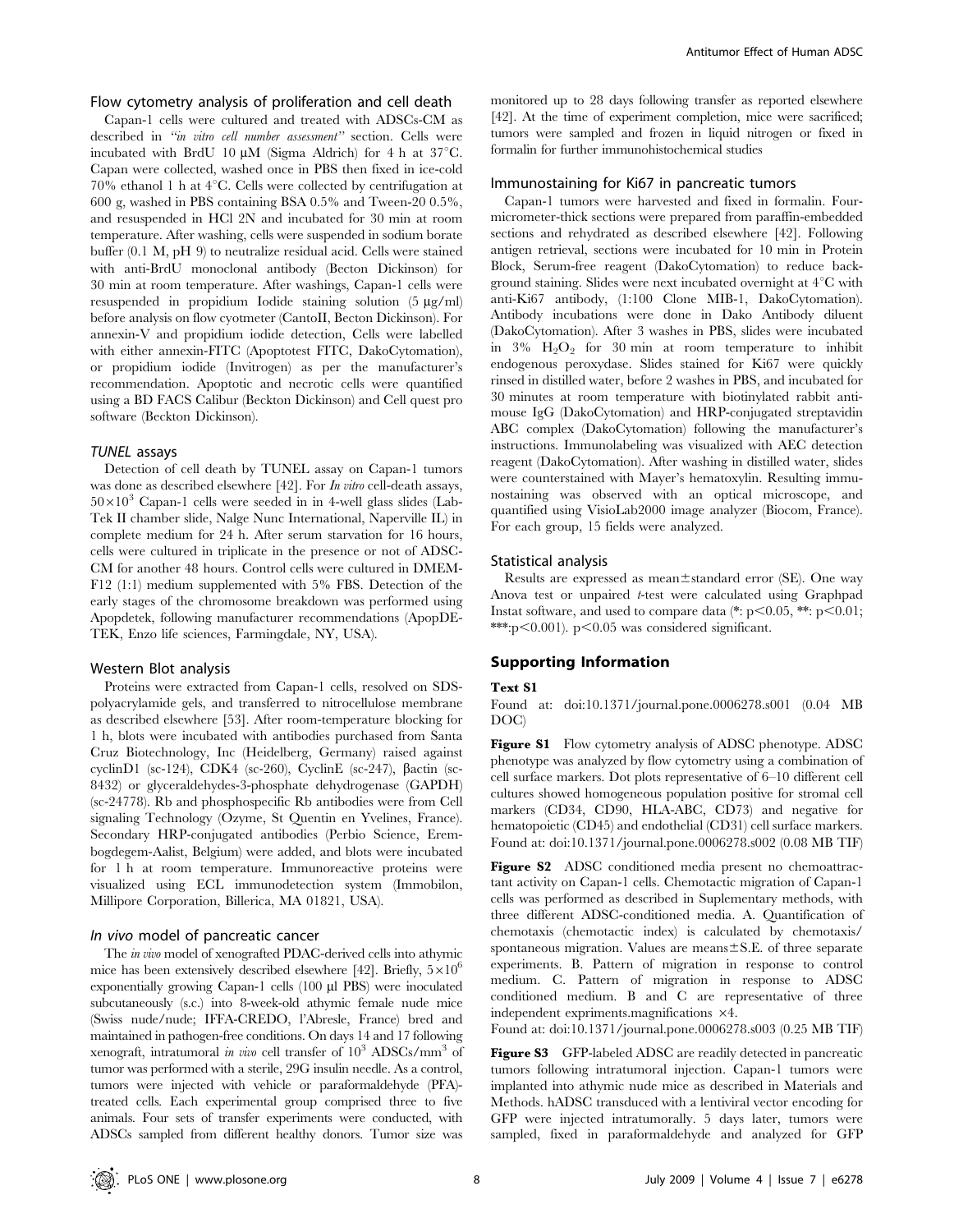## Flow cytometry analysis of proliferation and cell death

Capan-1 cells were cultured and treated with ADSCs-CM as described in "in vitro cell number assessment" section. Cells were incubated with BrdU 10  $\mu$ M (Sigma Aldrich) for 4 h at 37°C. Capan were collected, washed once in PBS then fixed in ice-cold 70% ethanol 1 h at  $4^{\circ}$ C. Cells were collected by centrifugation at 600 g, washed in PBS containing BSA 0.5% and Tween-20 0.5%, and resuspended in HCl 2N and incubated for 30 min at room temperature. After washing, cells were suspended in sodium borate buffer (0.1 M, pH 9) to neutralize residual acid. Cells were stained with anti-BrdU monoclonal antibody (Becton Dickinson) for 30 min at room temperature. After washings, Capan-1 cells were resuspended in propidium Iodide staining solution  $(5 \mu g/ml)$ before analysis on flow cyotmeter (CantoII, Becton Dickinson). For annexin-V and propidium iodide detection, Cells were labelled with either annexin-FITC (Apoptotest FITC, DakoCytomation), or propidium iodide (Invitrogen) as per the manufacturer's recommendation. Apoptotic and necrotic cells were quantified using a BD FACS Calibur (Beckton Dickinson) and Cell quest pro software (Beckton Dickinson).

#### TUNEL assays

Detection of cell death by TUNEL assay on Capan-1 tumors was done as described elsewhere [42]. For *In vitro* cell-death assays,  $50\times10^{3}$  Capan-1 cells were seeded in in 4-well glass slides (Lab-Tek II chamber slide, Nalge Nunc International, Naperville IL) in complete medium for 24 h. After serum starvation for 16 hours, cells were cultured in triplicate in the presence or not of ADSC-CM for another 48 hours. Control cells were cultured in DMEM-F12 (1:1) medium supplemented with 5% FBS. Detection of the early stages of the chromosome breakdown was performed using Apopdetek, following manufacturer recommendations (ApopDE-TEK, Enzo life sciences, Farmingdale, NY, USA).

#### Western Blot analysis

Proteins were extracted from Capan-1 cells, resolved on SDSpolyacrylamide gels, and transferred to nitrocellulose membrane as described elsewhere [53]. After room-temperature blocking for 1 h, blots were incubated with antibodies purchased from Santa Cruz Biotechnology, Inc (Heidelberg, Germany) raised against cyclinD1 (sc-124), CDK4 (sc-260), CyclinE (sc-247),  $\beta$ actin (sc-8432) or glyceraldehydes-3-phosphate dehydrogenase (GAPDH) (sc-24778). Rb and phosphospecific Rb antibodies were from Cell signaling Technology (Ozyme, St Quentin en Yvelines, France). Secondary HRP-conjugated antibodies (Perbio Science, Erembogdegem-Aalist, Belgium) were added, and blots were incubated for 1 h at room temperature. Immunoreactive proteins were visualized using ECL immunodetection system (Immobilon, Millipore Corporation, Billerica, MA 01821, USA).

## In vivo model of pancreatic cancer

The in vivo model of xenografted PDAC-derived cells into athymic mice has been extensively described elsewhere [42]. Briefly,  $5\times10^6$ exponentially growing Capan-1 cells (100 µl PBS) were inoculated subcutaneously (s.c.) into 8-week-old athymic female nude mice (Swiss nude/nude; IFFA-CREDO, l'Abresle, France) bred and maintained in pathogen-free conditions. On days 14 and 17 following xenograft, intratumoral in vivo cell transfer of  $10^3$  ADSCs/mm<sup>3</sup> of tumor was performed with a sterile, 29G insulin needle. As a control, tumors were injected with vehicle or paraformaldehyde (PFA) treated cells. Each experimental group comprised three to five animals. Four sets of transfer experiments were conducted, with ADSCs sampled from different healthy donors. Tumor size was

monitored up to 28 days following transfer as reported elsewhere [42]. At the time of experiment completion, mice were sacrificed; tumors were sampled and frozen in liquid nitrogen or fixed in formalin for further immunohistochemical studies

### Immunostaining for Ki67 in pancreatic tumors

Capan-1 tumors were harvested and fixed in formalin. Fourmicrometer-thick sections were prepared from paraffin-embedded sections and rehydrated as described elsewhere [42]. Following antigen retrieval, sections were incubated for 10 min in Protein Block, Serum-free reagent (DakoCytomation) to reduce background staining. Slides were next incubated overnight at  $4^{\circ}$ C with anti-Ki67 antibody, (1:100 Clone MIB-1, DakoCytomation). Antibody incubations were done in Dako Antibody diluent (DakoCytomation). After 3 washes in PBS, slides were incubated in  $3\%$  H<sub>2</sub>O<sub>2</sub> for 30 min at room temperature to inhibit endogenous peroxydase. Slides stained for Ki67 were quickly rinsed in distilled water, before 2 washes in PBS, and incubated for 30 minutes at room temperature with biotinylated rabbit antimouse IgG (DakoCytomation) and HRP-conjugated streptavidin ABC complex (DakoCytomation) following the manufacturer's instructions. Immunolabeling was visualized with AEC detection reagent (DakoCytomation). After washing in distilled water, slides were counterstained with Mayer's hematoxylin. Resulting immunostaining was observed with an optical microscope, and quantified using VisioLab2000 image analyzer (Biocom, France). For each group, 15 fields were analyzed.

#### Statistical analysis

Results are expressed as mean $\pm$ standard error (SE). One way Anova test or unpaired t-test were calculated using Graphpad Instat software, and used to compare data (\*:  $p<0.05$ , \*\*:  $p<0.01$ ; \*\*\*:p $<$ 0.001). p $<$ 0.05 was considered significant.

## Supporting Information

#### Text S1

Found at: doi:10.1371/journal.pone.0006278.s001 (0.04 MB DOC)

Figure S1 Flow cytometry analysis of ADSC phenotype. ADSC phenotype was analyzed by flow cytometry using a combination of cell surface markers. Dot plots representative of 6–10 different cell cultures showed homogeneous population positive for stromal cell markers (CD34, CD90, HLA-ABC, CD73) and negative for hematopoietic (CD45) and endothelial (CD31) cell surface markers. Found at: doi:10.1371/journal.pone.0006278.s002 (0.08 MB TIF)

Figure S2 ADSC conditioned media present no chemoattractant activity on Capan-1 cells. Chemotactic migration of Capan-1 cells was performed as described in Suplementary methods, with three different ADSC-conditioned media. A. Quantification of chemotaxis (chemotactic index) is calculated by chemotaxis/ spontaneous migration. Values are means $\pm$ S.E. of three separate experiments. B. Pattern of migration in response to control medium. C. Pattern of migration in response to ADSC conditioned medium. B and C are representative of three independent expriments.magnifications  $\times 4$ .

Found at: doi:10.1371/journal.pone.0006278.s003 (0.25 MB TIF)

Figure S3 GFP-labeled ADSC are readily detected in pancreatic tumors following intratumoral injection. Capan-1 tumors were implanted into athymic nude mice as described in Materials and Methods. hADSC transduced with a lentiviral vector encoding for GFP were injected intratumorally. 5 days later, tumors were sampled, fixed in paraformaldehyde and analyzed for GFP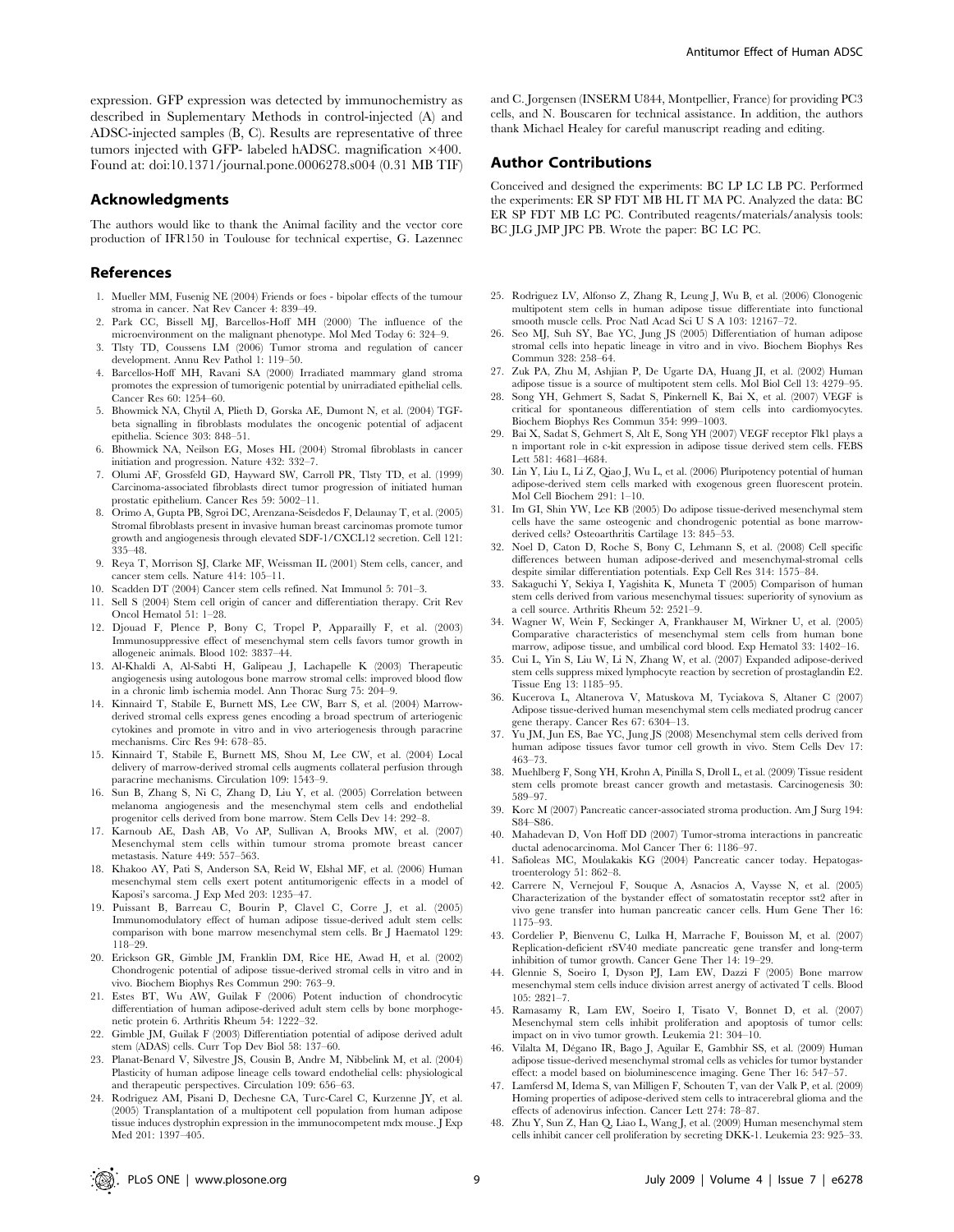expression. GFP expression was detected by immunochemistry as described in Suplementary Methods in control-injected (A) and ADSC-injected samples (B, C). Results are representative of three tumors injected with GFP- labeled hADSC. magnification  $\times 400$ . Found at: doi:10.1371/journal.pone.0006278.s004 (0.31 MB TIF)

#### Acknowledgments

The authors would like to thank the Animal facility and the vector core production of IFR150 in Toulouse for technical expertise, G. Lazennec

#### References

- 1. Mueller MM, Fusenig NE (2004) Friends or foes bipolar effects of the tumour stroma in cancer. Nat Rev Cancer 4: 839–49.
- 2. Park CC, Bissell MJ, Barcellos-Hoff MH (2000) The influence of the microenvironment on the malignant phenotype. Mol Med Today 6: 324–9.
- 3. Tlsty TD, Coussens LM (2006) Tumor stroma and regulation of cancer development. Annu Rev Pathol 1: 119–50.
- 4. Barcellos-Hoff MH, Ravani SA (2000) Irradiated mammary gland stroma promotes the expression of tumorigenic potential by unirradiated epithelial cells. Cancer Res 60: 1254–60.
- 5. Bhowmick NA, Chytil A, Plieth D, Gorska AE, Dumont N, et al. (2004) TGFbeta signalling in fibroblasts modulates the oncogenic potential of adjacent epithelia. Science 303: 848–51.
- 6. Bhowmick NA, Neilson EG, Moses HL (2004) Stromal fibroblasts in cancer initiation and progression. Nature 432: 332–7.
- 7. Olumi AF, Grossfeld GD, Hayward SW, Carroll PR, Tlsty TD, et al. (1999) Carcinoma-associated fibroblasts direct tumor progression of initiated human prostatic epithelium. Cancer Res 59: 5002–11.
- 8. Orimo A, Gupta PB, Sgroi DC, Arenzana-Seisdedos F, Delaunay T, et al. (2005) Stromal fibroblasts present in invasive human breast carcinomas promote tumor growth and angiogenesis through elevated SDF-1/CXCL12 secretion. Cell 121: 335–48.
- 9. Reya T, Morrison SJ, Clarke MF, Weissman IL (2001) Stem cells, cancer, and cancer stem cells. Nature 414: 105–11.
- 10. Scadden DT (2004) Cancer stem cells refined. Nat Immunol 5: 701–3.
- 11. Sell S (2004) Stem cell origin of cancer and differentiation therapy. Crit Rev Oncol Hematol 51: 1–28.
- 12. Djouad F, Plence P, Bony C, Tropel P, Apparailly F, et al. (2003) Immunosuppressive effect of mesenchymal stem cells favors tumor growth in allogeneic animals. Blood 102: 3837–44.
- 13. Al-Khaldi A, Al-Sabti H, Galipeau J, Lachapelle K (2003) Therapeutic angiogenesis using autologous bone marrow stromal cells: improved blood flow in a chronic limb ischemia model. Ann Thorac Surg 75: 204–9.
- 14. Kinnaird T, Stabile E, Burnett MS, Lee CW, Barr S, et al. (2004) Marrowderived stromal cells express genes encoding a broad spectrum of arteriogenic cytokines and promote in vitro and in vivo arteriogenesis through paracrine mechanisms. Circ Res 94: 678–85.
- 15. Kinnaird T, Stabile E, Burnett MS, Shou M, Lee CW, et al. (2004) Local delivery of marrow-derived stromal cells augments collateral perfusion through paracrine mechanisms. Circulation 109: 1543–9.
- 16. Sun B, Zhang S, Ni C, Zhang D, Liu Y, et al. (2005) Correlation between melanoma angiogenesis and the mesenchymal stem cells and endothelial progenitor cells derived from bone marrow. Stem Cells Dev 14: 292–8.
- 17. Karnoub AE, Dash AB, Vo AP, Sullivan A, Brooks MW, et al. (2007) Mesenchymal stem cells within tumour stroma promote breast cancer metastasis. Nature 449: 557–563.
- 18. Khakoo AY, Pati S, Anderson SA, Reid W, Elshal MF, et al. (2006) Human mesenchymal stem cells exert potent antitumorigenic effects in a model of Kaposi's sarcoma. J Exp Med 203: 1235–47.
- 19. Puissant B, Barreau C, Bourin P, Clavel C, Corre J, et al. (2005) Immunomodulatory effect of human adipose tissue-derived adult stem cells: comparison with bone marrow mesenchymal stem cells. Br J Haematol 129: 118–29.
- 20. Erickson GR, Gimble JM, Franklin DM, Rice HE, Awad H, et al. (2002) Chondrogenic potential of adipose tissue-derived stromal cells in vitro and in vivo. Biochem Biophys Res Commun 290: 763–9.
- 21. Estes BT, Wu AW, Guilak F (2006) Potent induction of chondrocytic differentiation of human adipose-derived adult stem cells by bone morphogenetic protein 6. Arthritis Rheum 54: 1222–32.
- 22. Gimble JM, Guilak F (2003) Differentiation potential of adipose derived adult stem (ADAS) cells. Curr Top Dev Biol 58: 137–60.
- 23. Planat-Benard V, Silvestre JS, Cousin B, Andre M, Nibbelink M, et al. (2004) Plasticity of human adipose lineage cells toward endothelial cells: physiological and therapeutic perspectives. Circulation 109: 656–63.
- 24. Rodriguez AM, Pisani D, Dechesne CA, Turc-Carel C, Kurzenne JY, et al. (2005) Transplantation of a multipotent cell population from human adipose tissue induces dystrophin expression in the immunocompetent mdx mouse. J Exp Med 201: 1397–405.

and C. Jorgensen (INSERM U844, Montpellier, France) for providing PC3 cells, and N. Bouscaren for technical assistance. In addition, the authors thank Michael Healey for careful manuscript reading and editing.

#### Author Contributions

Conceived and designed the experiments: BC LP LC LB PC. Performed the experiments: ER SP FDT MB HL IT MA PC. Analyzed the data: BC ER SP FDT MB LC PC. Contributed reagents/materials/analysis tools: BC JLG JMP JPC PB. Wrote the paper: BC LC PC.

- 25. Rodriguez LV, Alfonso Z, Zhang R, Leung J, Wu B, et al. (2006) Clonogenic multipotent stem cells in human adipose tissue differentiate into functional smooth muscle cells. Proc Natl Acad Sci U S A 103: 12167-72.
- 26. Seo MJ, Suh SY, Bae YC, Jung JS (2005) Differentiation of human adipose stromal cells into hepatic lineage in vitro and in vivo. Biochem Biophys Res Commun 328: 258–64.
- 27. Zuk PA, Zhu M, Ashjian P, De Ugarte DA, Huang JI, et al. (2002) Human adipose tissue is a source of multipotent stem cells. Mol Biol Cell 13: 4279–95.
- 28. Song YH, Gehmert S, Sadat S, Pinkernell K, Bai X, et al. (2007) VEGF is critical for spontaneous differentiation of stem cells into cardiomyocytes. Biochem Biophys Res Commun 354: 999–1003.
- 29. Bai X, Sadat S, Gehmert S, Alt E, Song YH (2007) VEGF receptor Flk1 plays a n important role in c-kit expression in adipose tissue derived stem cells. FEBS Lett 581: 4681–4684.
- 30. Lin Y, Liu L, Li Z, Qiao J, Wu L, et al. (2006) Pluripotency potential of human adipose-derived stem cells marked with exogenous green fluorescent protein. Mol Cell Biochem 291: 1–10.
- 31. Im GI, Shin YW, Lee KB (2005) Do adipose tissue-derived mesenchymal stem cells have the same osteogenic and chondrogenic potential as bone marrowderived cells? Osteoarthritis Cartilage 13: 845–53.
- 32. Noel D, Caton D, Roche S, Bony C, Lehmann S, et al. (2008) Cell specific differences between human adipose-derived and mesenchymal-stromal cells despite similar differentiation potentials. Exp Cell Res 314: 1575–84.
- 33. Sakaguchi Y, Sekiya I, Yagishita K, Muneta T (2005) Comparison of human stem cells derived from various mesenchymal tissues: superiority of synovium as a cell source. Arthritis Rheum 52: 2521–9.
- 34. Wagner W, Wein F, Seckinger A, Frankhauser M, Wirkner U, et al. (2005) Comparative characteristics of mesenchymal stem cells from human bone marrow, adipose tissue, and umbilical cord blood. Exp Hematol 33: 1402–16.
- 35. Cui L, Yin S, Liu W, Li N, Zhang W, et al. (2007) Expanded adipose-derived stem cells suppress mixed lymphocyte reaction by secretion of prostaglandin E2. Tissue Eng 13: 1185–95.
- 36. Kucerova L, Altanerova V, Matuskova M, Tyciakova S, Altaner C (2007) Adipose tissue-derived human mesenchymal stem cells mediated prodrug cancer gene therapy. Cancer Res 67: 6304–13.
- 37. Yu JM, Jun ES, Bae YC, Jung JS (2008) Mesenchymal stem cells derived from human adipose tissues favor tumor cell growth in vivo. Stem Cells Dev 17: 463–73.
- 38. Muehlberg F, Song YH, Krohn A, Pinilla S, Droll L, et al. (2009) Tissue resident stem cells promote breast cancer growth and metastasis. Carcinogenesis 30: 589–97.
- 39. Korc M (2007) Pancreatic cancer-associated stroma production. Am J Surg 194: S84–S86.
- 40. Mahadevan D, Von Hoff DD (2007) Tumor-stroma interactions in pancreatic ductal adenocarcinoma. Mol Cancer Ther 6: 1186–97.
- 41. Safioleas MC, Moulakakis KG (2004) Pancreatic cancer today. Hepatogastroenterology 51: 862–8.
- 42. Carrere N, Vernejoul F, Souque A, Asnacios A, Vaysse N, et al. (2005) Characterization of the bystander effect of somatostatin receptor sst2 after in vivo gene transfer into human pancreatic cancer cells. Hum Gene Ther 16: 1175–93.
- 43. Cordelier P, Bienvenu C, Lulka H, Marrache F, Bouisson M, et al. (2007) Replication-deficient rSV40 mediate pancreatic gene transfer and long-term inhibition of tumor growth. Cancer Gene Ther 14: 19–29.
- 44. Glennie S, Soeiro I, Dyson PJ, Lam EW, Dazzi F (2005) Bone marrow mesenchymal stem cells induce division arrest anergy of activated T cells. Blood 105: 2821–7.
- 45. Ramasamy R, Lam EW, Soeiro I, Tisato V, Bonnet D, et al. (2007) Mesenchymal stem cells inhibit proliferation and apoptosis of tumor cells: impact on in vivo tumor growth. Leukemia 21: 304–10.
- 46. Vilalta M, Dégano IR, Bago J, Aguilar E, Gambhir SS, et al. (2009) Human adipose tissue-derived mesenchymal stromal cells as vehicles for tumor bystander effect: a model based on bioluminescence imaging. Gene Ther 16: 547–57.
- 47. Lamfersd M, Idema S, van Milligen F, Schouten T, van der Valk P, et al. (2009) Homing properties of adipose-derived stem cells to intracerebral glioma and the effects of adenovirus infection. Cancer Lett 274: 78–87.
- 48. Zhu Y, Sun Z, Han Q, Liao L, Wang J, et al. (2009) Human mesenchymal stem cells inhibit cancer cell proliferation by secreting DKK-1. Leukemia 23: 925–33.